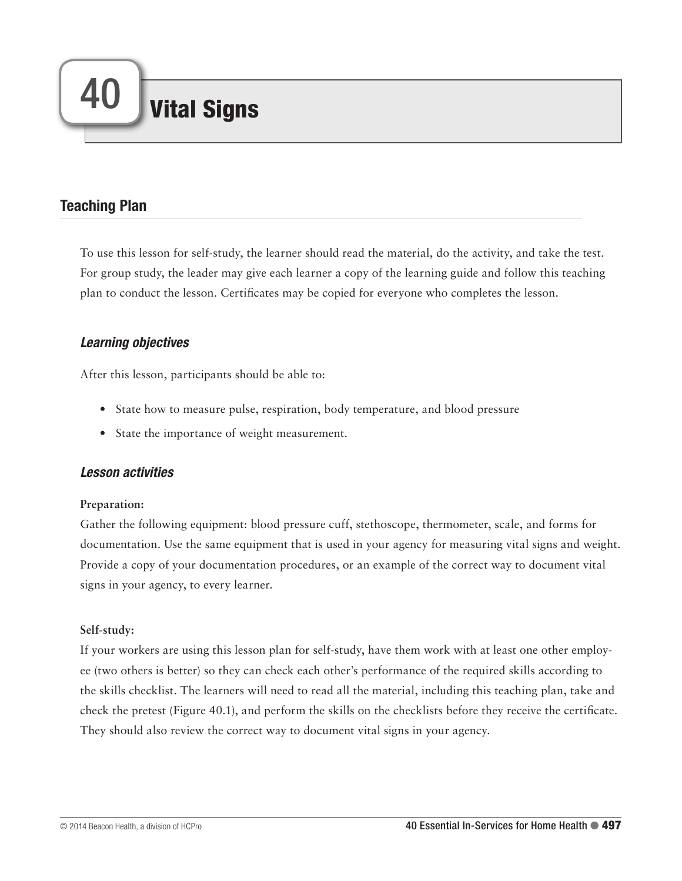# Teaching Plan

To use this lesson for self-study, the learner should read the material, do the activity, and take the test. For group study, the leader may give each learner a copy of the learning guide and follow this teaching plan to conduct the lesson. Certificates may be copied for everyone who completes the lesson.

# *Learning objectives*

After this lesson, participants should be able to:

- State how to measure pulse, respiration, body temperature, and blood pressure
- State the importance of weight measurement.

# *Lesson activities*

### **Preparation:**

Gather the following equipment: blood pressure cuff, stethoscope, thermometer, scale, and forms for documentation. Use the same equipment that is used in your agency for measuring vital signs and weight. Provide a copy of your documentation procedures, or an example of the correct way to document vital signs in your agency, to every learner.

### **Self-study:**

If your workers are using this lesson plan for self-study, have them work with at least one other employee (two others is better) so they can check each other's performance of the required skills according to the skills checklist. The learners will need to read all the material, including this teaching plan, take and check the pretest (Figure 40.1), and perform the skills on the checklists before they receive the certificate. They should also review the correct way to document vital signs in your agency.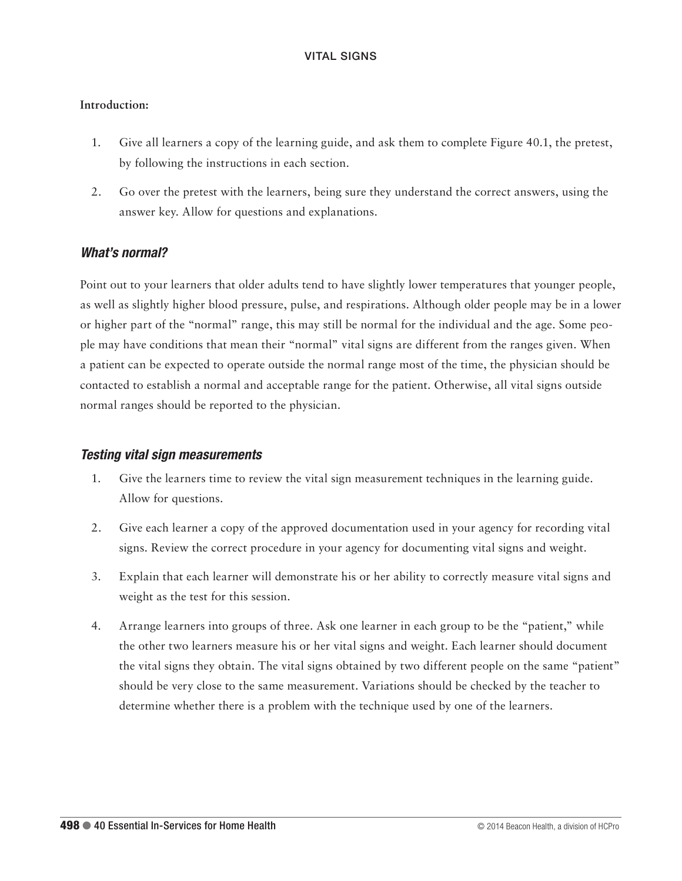### **Introduction:**

- 1. Give all learners a copy of the learning guide, and ask them to complete Figure 40.1, the pretest, by following the instructions in each section.
- 2. Go over the pretest with the learners, being sure they understand the correct answers, using the answer key. Allow for questions and explanations.

### *What's normal?*

Point out to your learners that older adults tend to have slightly lower temperatures that younger people, as well as slightly higher blood pressure, pulse, and respirations. Although older people may be in a lower or higher part of the "normal" range, this may still be normal for the individual and the age. Some people may have conditions that mean their "normal" vital signs are different from the ranges given. When a patient can be expected to operate outside the normal range most of the time, the physician should be contacted to establish a normal and acceptable range for the patient. Otherwise, all vital signs outside normal ranges should be reported to the physician.

### *Testing vital sign measurements*

- 1. Give the learners time to review the vital sign measurement techniques in the learning guide. Allow for questions.
- 2. Give each learner a copy of the approved documentation used in your agency for recording vital signs. Review the correct procedure in your agency for documenting vital signs and weight.
- 3. Explain that each learner will demonstrate his or her ability to correctly measure vital signs and weight as the test for this session.
- 4. Arrange learners into groups of three. Ask one learner in each group to be the "patient," while the other two learners measure his or her vital signs and weight. Each learner should document the vital signs they obtain. The vital signs obtained by two different people on the same "patient" should be very close to the same measurement. Variations should be checked by the teacher to determine whether there is a problem with the technique used by one of the learners.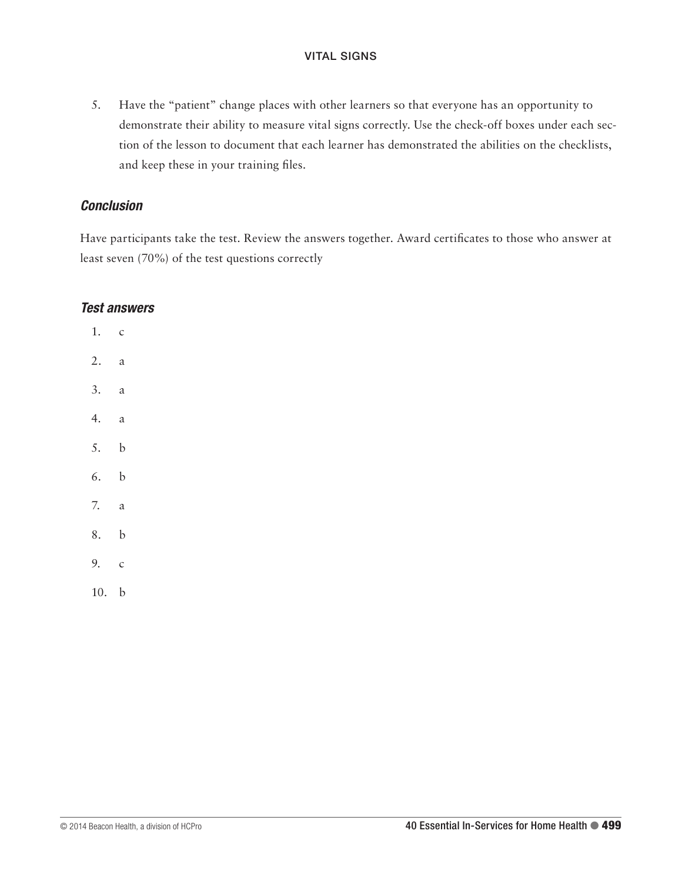### VITAL SIGNS

5. Have the "patient" change places with other learners so that everyone has an opportunity to demonstrate their ability to measure vital signs correctly. Use the check-off boxes under each section of the lesson to document that each learner has demonstrated the abilities on the checklists, and keep these in your training files.

# *Conclusion*

Have participants take the test. Review the answers together. Award certificates to those who answer at least seven (70%) of the test questions correctly

# *Test answers*

1. c 2. a 3. a 4. a 5. b 6. b 7. a 8. b 9. c 10. b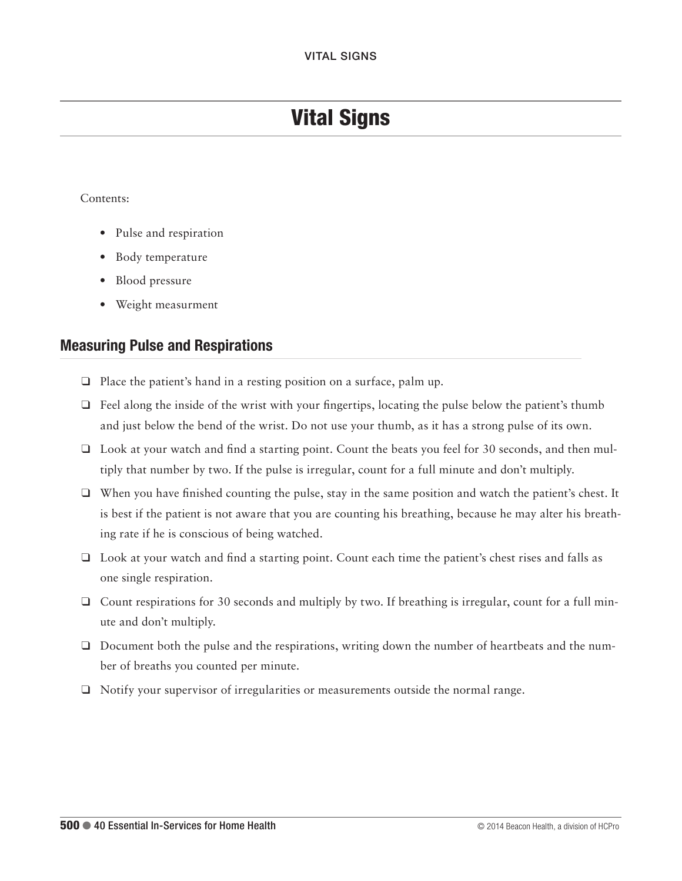# Vital Signs

### Contents:

- Pulse and respiration
- Body temperature
- Blood pressure
- Weight measurment

# Measuring Pulse and Respirations

- $\Box$  Place the patient's hand in a resting position on a surface, palm up.
- $\Box$  Feel along the inside of the wrist with your fingertips, locating the pulse below the patient's thumb and just below the bend of the wrist. Do not use your thumb, as it has a strong pulse of its own.
- $\Box$  Look at your watch and find a starting point. Count the beats you feel for 30 seconds, and then multiply that number by two. If the pulse is irregular, count for a full minute and don't multiply.
- $\Box$  When you have finished counting the pulse, stay in the same position and watch the patient's chest. It is best if the patient is not aware that you are counting his breathing, because he may alter his breathing rate if he is conscious of being watched.
- $\Box$  Look at your watch and find a starting point. Count each time the patient's chest rises and falls as one single respiration.
- $\Box$  Count respirations for 30 seconds and multiply by two. If breathing is irregular, count for a full minute and don't multiply.
- $\Box$  Document both the pulse and the respirations, writing down the number of heartbeats and the number of breaths you counted per minute.
- $\Box$  Notify your supervisor of irregularities or measurements outside the normal range.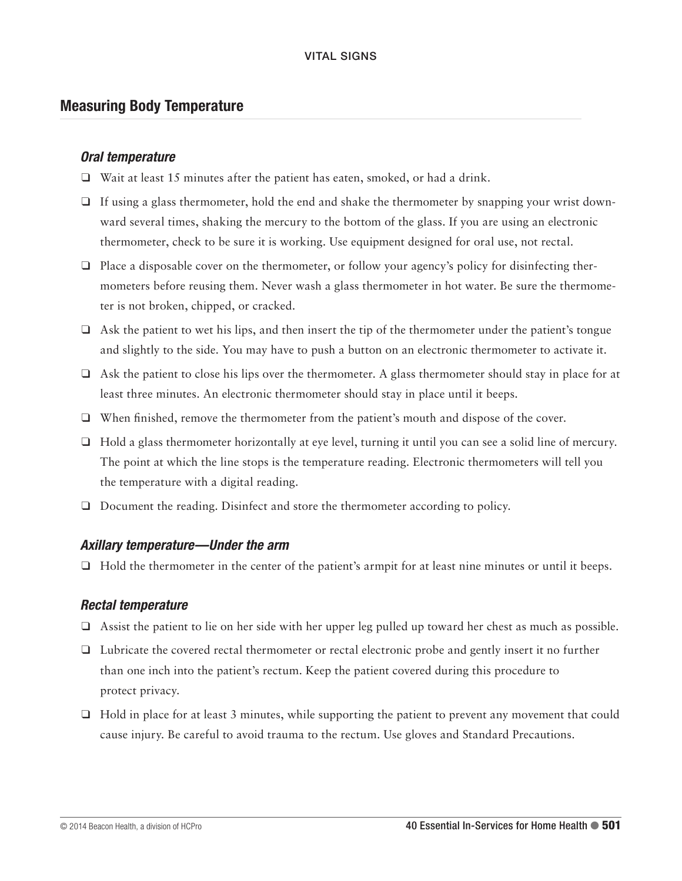# Measuring Body Temperature

### *Oral temperature*

- $\Box$  Wait at least 15 minutes after the patient has eaten, smoked, or had a drink.
- $\Box$  If using a glass thermometer, hold the end and shake the thermometer by snapping your wrist downward several times, shaking the mercury to the bottom of the glass. If you are using an electronic thermometer, check to be sure it is working. Use equipment designed for oral use, not rectal.
- $\Box$  Place a disposable cover on the thermometer, or follow your agency's policy for disinfecting thermometers before reusing them. Never wash a glass thermometer in hot water. Be sure the thermometer is not broken, chipped, or cracked.
- $\Box$  Ask the patient to wet his lips, and then insert the tip of the thermometer under the patient's tongue and slightly to the side. You may have to push a button on an electronic thermometer to activate it.
- $\Box$  Ask the patient to close his lips over the thermometer. A glass thermometer should stay in place for at least three minutes. An electronic thermometer should stay in place until it beeps.
- $\Box$  When finished, remove the thermometer from the patient's mouth and dispose of the cover.
- $\Box$  Hold a glass thermometer horizontally at eye level, turning it until you can see a solid line of mercury. The point at which the line stops is the temperature reading. Electronic thermometers will tell you the temperature with a digital reading.
- $\Box$  Document the reading. Disinfect and store the thermometer according to policy.

### *Axillary temperature—Under the arm*

 $\Box$  Hold the thermometer in the center of the patient's armpit for at least nine minutes or until it beeps.

### *Rectal temperature*

- $\Box$  Assist the patient to lie on her side with her upper leg pulled up toward her chest as much as possible.
- $\Box$  Lubricate the covered rectal thermometer or rectal electronic probe and gently insert it no further than one inch into the patient's rectum. Keep the patient covered during this procedure to protect privacy.
- $\Box$  Hold in place for at least 3 minutes, while supporting the patient to prevent any movement that could cause injury. Be careful to avoid trauma to the rectum. Use gloves and Standard Precautions.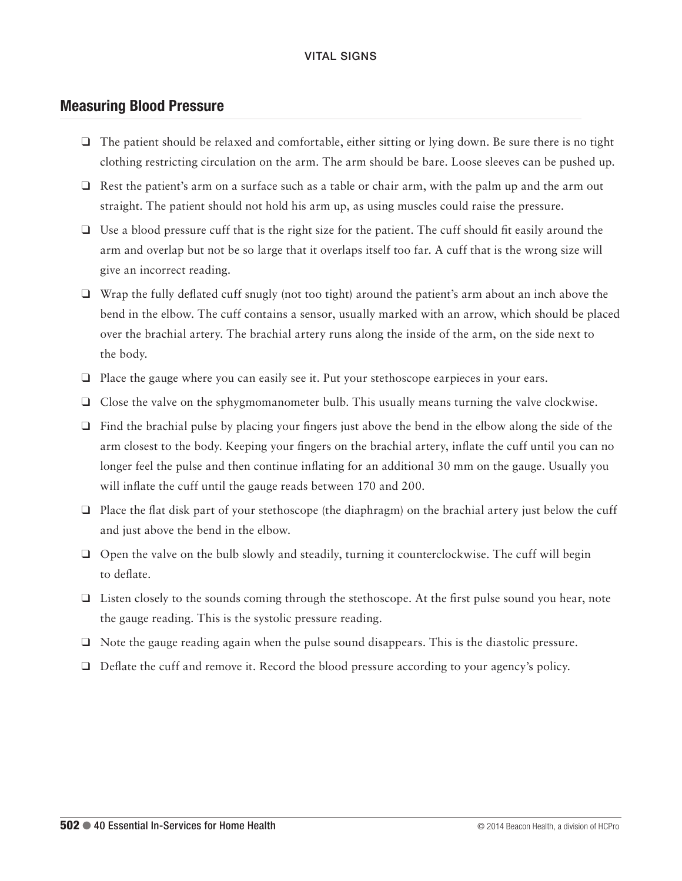# Measuring Blood Pressure

- $\Box$  The patient should be relaxed and comfortable, either sitting or lying down. Be sure there is no tight clothing restricting circulation on the arm. The arm should be bare. Loose sleeves can be pushed up.
- $\Box$  Rest the patient's arm on a surface such as a table or chair arm, with the palm up and the arm out straight. The patient should not hold his arm up, as using muscles could raise the pressure.
- $\Box$  Use a blood pressure cuff that is the right size for the patient. The cuff should fit easily around the arm and overlap but not be so large that it overlaps itself too far. A cuff that is the wrong size will give an incorrect reading.
- $\Box$  Wrap the fully deflated cuff snugly (not too tight) around the patient's arm about an inch above the bend in the elbow. The cuff contains a sensor, usually marked with an arrow, which should be placed over the brachial artery. The brachial artery runs along the inside of the arm, on the side next to the body.
- $\Box$  Place the gauge where you can easily see it. Put your stethoscope earpieces in your ears.
- $\Box$  Close the valve on the sphygmomanometer bulb. This usually means turning the valve clockwise.
- $\Box$  Find the brachial pulse by placing your fingers just above the bend in the elbow along the side of the arm closest to the body. Keeping your fingers on the brachial artery, inflate the cuff until you can no longer feel the pulse and then continue inflating for an additional 30 mm on the gauge. Usually you will inflate the cuff until the gauge reads between 170 and 200.
- $\Box$  Place the flat disk part of your stethoscope (the diaphragm) on the brachial artery just below the cuff and just above the bend in the elbow.
- $\Box$  Open the valve on the bulb slowly and steadily, turning it counterclockwise. The cuff will begin to deflate.
- $\Box$  Listen closely to the sounds coming through the stethoscope. At the first pulse sound you hear, note the gauge reading. This is the systolic pressure reading.
- $\Box$  Note the gauge reading again when the pulse sound disappears. This is the diastolic pressure.
- $\Box$  Deflate the cuff and remove it. Record the blood pressure according to your agency's policy.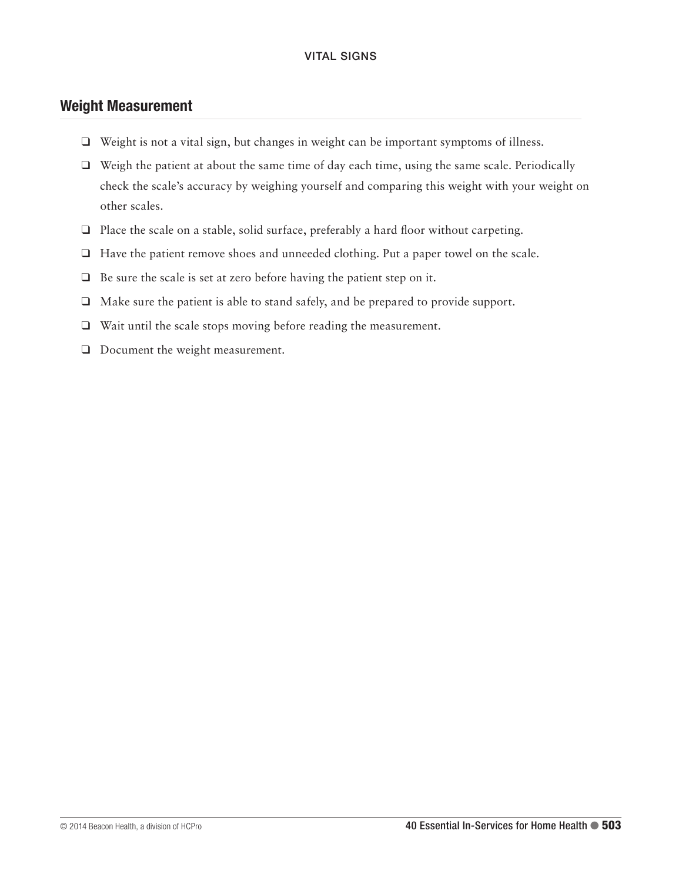# Weight Measurement

- $\Box$  Weight is not a vital sign, but changes in weight can be important symptoms of illness.
- $\Box$  Weigh the patient at about the same time of day each time, using the same scale. Periodically check the scale's accuracy by weighing yourself and comparing this weight with your weight on other scales.
- $\Box$  Place the scale on a stable, solid surface, preferably a hard floor without carpeting.
- $\Box$  Have the patient remove shoes and unneeded clothing. Put a paper towel on the scale.
- $\Box$  Be sure the scale is set at zero before having the patient step on it.
- $\Box$  Make sure the patient is able to stand safely, and be prepared to provide support.
- $\Box$  Wait until the scale stops moving before reading the measurement.
- $\Box$  Document the weight measurement.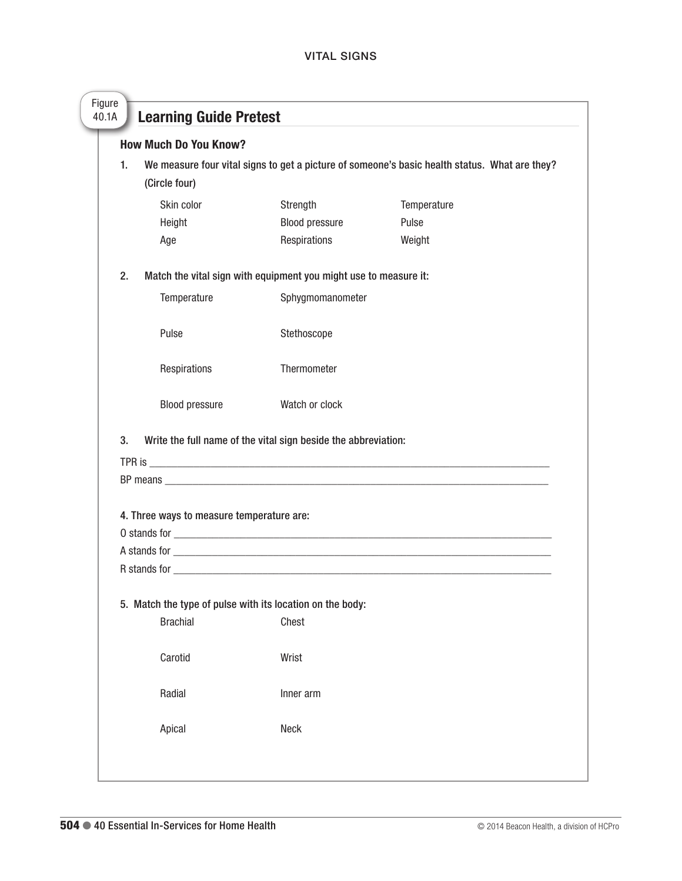|    | <b>How Much Do You Know?</b>                                                                                   |                                                                |             |  |  |
|----|----------------------------------------------------------------------------------------------------------------|----------------------------------------------------------------|-------------|--|--|
| 1. | We measure four vital signs to get a picture of someone's basic health status. What are they?<br>(Circle four) |                                                                |             |  |  |
|    | Skin color                                                                                                     | Strength                                                       | Temperature |  |  |
|    | Height                                                                                                         | Blood pressure                                                 | Pulse       |  |  |
|    | Age                                                                                                            | Respirations                                                   | Weight      |  |  |
| 2. | Match the vital sign with equipment you might use to measure it:                                               |                                                                |             |  |  |
|    | Temperature                                                                                                    | Sphygmomanometer                                               |             |  |  |
|    | Pulse                                                                                                          | Stethoscope                                                    |             |  |  |
|    | Respirations                                                                                                   | Thermometer                                                    |             |  |  |
|    |                                                                                                                |                                                                |             |  |  |
|    | Blood pressure                                                                                                 | Watch or clock                                                 |             |  |  |
| 3. |                                                                                                                | Write the full name of the vital sign beside the abbreviation: |             |  |  |
|    |                                                                                                                |                                                                |             |  |  |
|    | 4. Three ways to measure temperature are:                                                                      |                                                                |             |  |  |
|    |                                                                                                                |                                                                |             |  |  |
|    |                                                                                                                |                                                                |             |  |  |
|    |                                                                                                                |                                                                |             |  |  |
|    | 5. Match the type of pulse with its location on the body:                                                      |                                                                |             |  |  |
|    | <b>Brachial</b>                                                                                                | Chest                                                          |             |  |  |
|    | Carotid                                                                                                        | Wrist                                                          |             |  |  |
|    | Radial                                                                                                         | Inner arm                                                      |             |  |  |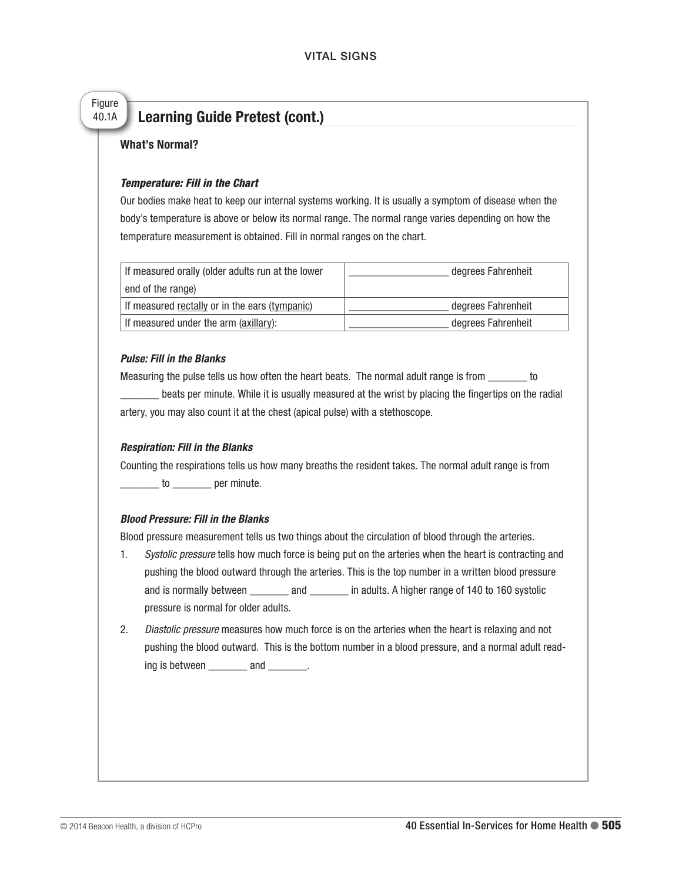#### Figure 40.1A Learning Guide Pretest (cont.)

#### What's Normal?

#### *Temperature: Fill in the Chart*

Our bodies make heat to keep our internal systems working. It is usually a symptom of disease when the body's temperature is above or below its normal range. The normal range varies depending on how the temperature measurement is obtained. Fill in normal ranges on the chart.

| If measured orally (older adults run at the lower | degrees Fahrenheit |
|---------------------------------------------------|--------------------|
| end of the range)                                 |                    |
| If measured rectally or in the ears (tympanic)    | degrees Fahrenheit |
| If measured under the arm (axillary):             | degrees Fahrenheit |

#### *Pulse: Fill in the Blanks*

Measuring the pulse tells us how often the heart beats. The normal adult range is from \_\_\_\_\_\_\_ to beats per minute. While it is usually measured at the wrist by placing the fingertips on the radial artery, you may also count it at the chest (apical pulse) with a stethoscope.

#### *Respiration: Fill in the Blanks*

Counting the respirations tells us how many breaths the resident takes. The normal adult range is from to **per minute.** 

#### *Blood Pressure: Fill in the Blanks*

Blood pressure measurement tells us two things about the circulation of blood through the arteries.

- 1. *Systolic pressure* tells how much force is being put on the arteries when the heart is contracting and pushing the blood outward through the arteries. This is the top number in a written blood pressure and is normally between \_\_\_\_\_\_\_ and \_\_\_\_\_\_ in adults. A higher range of 140 to 160 systolic pressure is normal for older adults.
- 2. *Diastolic pressure* measures how much force is on the arteries when the heart is relaxing and not pushing the blood outward. This is the bottom number in a blood pressure, and a normal adult reading is between \_\_\_\_\_\_\_\_ and \_\_\_\_\_\_\_.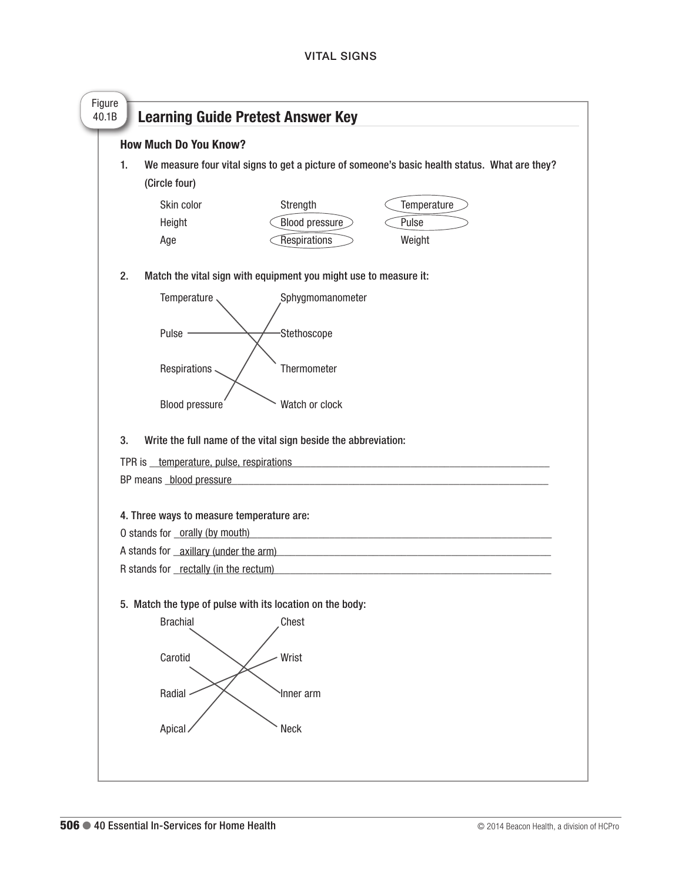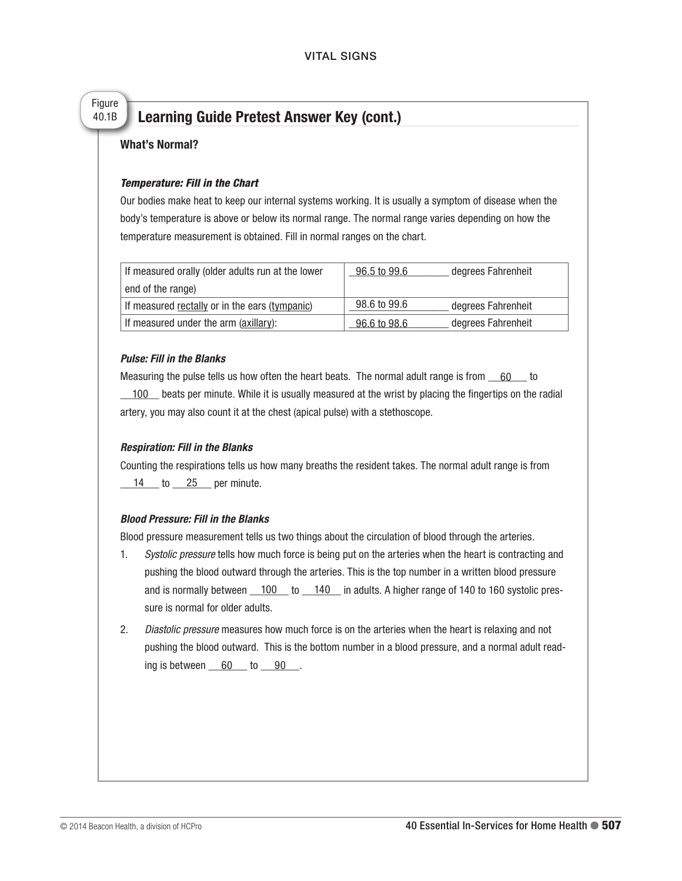#### Figure 40.1B Learning Guide Pretest Answer Key (cont.)

### What's Normal?

### *Temperature: Fill in the Chart*

Our bodies make heat to keep our internal systems working. It is usually a symptom of disease when the body's temperature is above or below its normal range. The normal range varies depending on how the temperature measurement is obtained. Fill in normal ranges on the chart.

| If measured orally (older adults run at the lower | degrees Fahrenheit<br>96.5 to 99.6 |
|---------------------------------------------------|------------------------------------|
| end of the range)                                 |                                    |
| If measured rectally or in the ears (tympanic)    | 98.6 to 99.6<br>degrees Fahrenheit |
| If measured under the arm (axillary):             | degrees Fahrenheit<br>96.6 to 98.6 |

#### *Pulse: Fill in the Blanks*

Measuring the pulse tells us how often the heart beats. The normal adult range is from  $\_\,\,\overline{\,\,}60\,\,\_\,$  to  $-100$  beats per minute. While it is usually measured at the wrist by placing the fingertips on the radial artery, you may also count it at the chest (apical pulse) with a stethoscope.

### *Respiration: Fill in the Blanks*

Counting the respirations tells us how many breaths the resident takes. The normal adult range is from  $\frac{14}{14}$  to  $\frac{25}{12}$  per minute.

### *Blood Pressure: Fill in the Blanks*

Blood pressure measurement tells us two things about the circulation of blood through the arteries.

- 1. *Systolic pressure* tells how much force is being put on the arteries when the heart is contracting and pushing the blood outward through the arteries. This is the top number in a written blood pressure and is normally between  $\frac{100}{10}$  to  $\frac{140}{100}$  in adults. A higher range of 140 to 160 systolic pressure is normal for older adults.
- 2. *Diastolic pressure* measures how much force is on the arteries when the heart is relaxing and not pushing the blood outward. This is the bottom number in a blood pressure, and a normal adult reading is between  $\_\, 60$  to  $\_\, 90$ .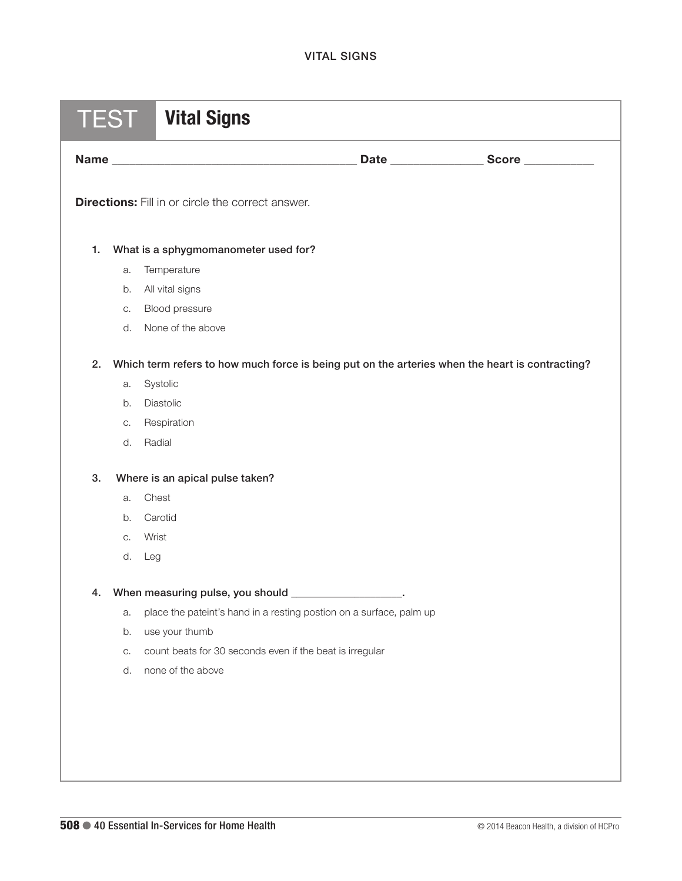|                                                          | <b>TEST</b>   Vital Signs                                                                       |  |  |  |  |
|----------------------------------------------------------|-------------------------------------------------------------------------------------------------|--|--|--|--|
|                                                          |                                                                                                 |  |  |  |  |
| <b>Directions:</b> Fill in or circle the correct answer. |                                                                                                 |  |  |  |  |
| 1.                                                       | What is a sphygmomanometer used for?                                                            |  |  |  |  |
|                                                          | Temperature<br>a.                                                                               |  |  |  |  |
|                                                          | All vital signs<br>b.                                                                           |  |  |  |  |
|                                                          | Blood pressure<br>C.                                                                            |  |  |  |  |
|                                                          | None of the above<br>d.                                                                         |  |  |  |  |
| 2.                                                       | Which term refers to how much force is being put on the arteries when the heart is contracting? |  |  |  |  |
|                                                          | Systolic<br>a.                                                                                  |  |  |  |  |
|                                                          | Diastolic<br>b.                                                                                 |  |  |  |  |
|                                                          | Respiration<br>С.                                                                               |  |  |  |  |
|                                                          | Radial<br>d.                                                                                    |  |  |  |  |
| 3.                                                       | Where is an apical pulse taken?                                                                 |  |  |  |  |
|                                                          | Chest<br>a.                                                                                     |  |  |  |  |
|                                                          | Carotid<br>b.                                                                                   |  |  |  |  |
|                                                          | Wrist<br>C.                                                                                     |  |  |  |  |
|                                                          | d.<br>Leg                                                                                       |  |  |  |  |
| 4.                                                       | When measuring pulse, you should ___________________.                                           |  |  |  |  |
|                                                          | place the pateint's hand in a resting postion on a surface, palm up<br>a.                       |  |  |  |  |
|                                                          | use your thumb<br>b.                                                                            |  |  |  |  |
|                                                          | count beats for 30 seconds even if the beat is irregular<br>C.                                  |  |  |  |  |
|                                                          | none of the above<br>d.                                                                         |  |  |  |  |
|                                                          |                                                                                                 |  |  |  |  |
|                                                          |                                                                                                 |  |  |  |  |
|                                                          |                                                                                                 |  |  |  |  |
|                                                          |                                                                                                 |  |  |  |  |
|                                                          |                                                                                                 |  |  |  |  |